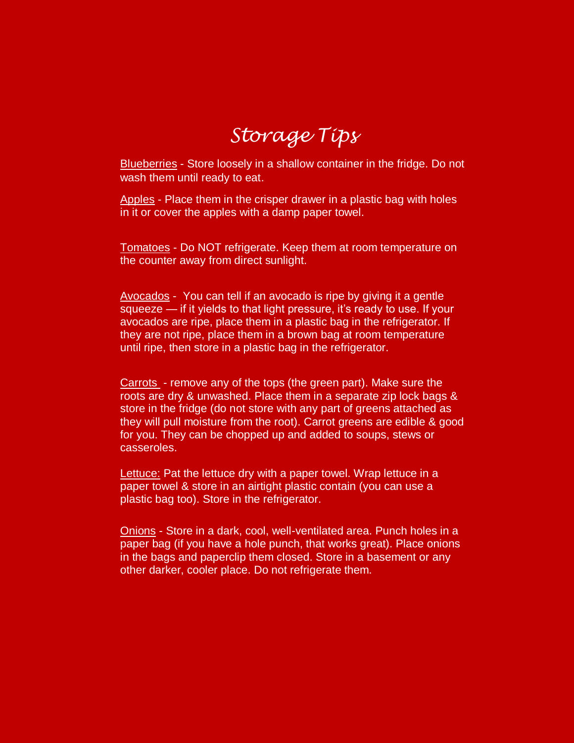# *Storage Tips*

Blueberries - Store loosely in a shallow container in the fridge. Do not wash them until ready to eat.

Apples - Place them in the crisper drawer in a plastic bag with holes in it or cover the apples with a damp paper towel.

Tomatoes - Do NOT refrigerate. Keep them at room temperature on the counter away from direct sunlight.

Avocados - You can tell if an avocado is ripe by giving it a gentle squeeze — if it yields to that light pressure, it's ready to use. If your avocados are ripe, place them in a plastic bag in the refrigerator. If they are not ripe, place them in a brown bag at room temperature until ripe, then store in a plastic bag in the refrigerator.

Carrots - remove any of the tops (the green part). Make sure the roots are dry & unwashed. Place them in a separate zip lock bags & store in the fridge (do not store with any part of greens attached as they will pull moisture from the root). Carrot greens are edible & good for you. They can be chopped up and added to soups, stews or casseroles.

Lettuce: Pat the lettuce dry with a paper towel. Wrap lettuce in a paper towel & store in an airtight plastic contain (you can use a plastic bag too). Store in the refrigerator.

Onions - Store in a dark, cool, well-ventilated area. Punch holes in a paper bag (if you have a hole punch, that works great). Place onions in the bags and paperclip them closed. Store in a basement or any other darker, cooler place. Do not refrigerate them.